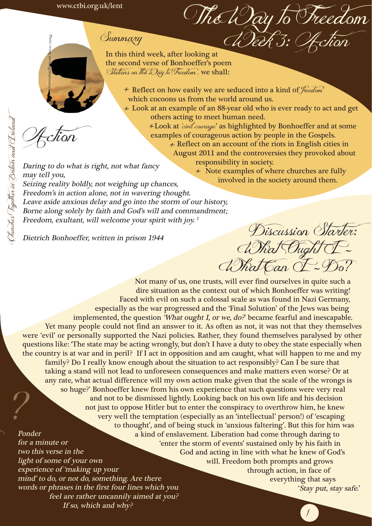## www.ctbi.org.uk/lent

Photo: wong

yu liang/Shutterstock.com

Summary

In this third week, after looking at the second verse of Bonhoeffer's poem 'Stations on the Way to Freedom', we shall:

 $\star$  Reflect on how easily we are seduced into a kind of  ${\it \mathcal{F}\!\mathit{needom}}$ which cocoons us from the world around us.

 $\star$  Look at an example of an 88-year old who is ever ready to act and get others acting to meet human need.

 Look at 'civil courage' as highlighted by Bonhoeffer and at some + examples of courageous action by people in the Gospels.

 $\star$  Reflect on an account of the riots in English cities in August 2011 and the controversies they provoked about responsibility in society.

The Way to Treedom

\ Week 3: Action

 $\uparrow$  Note examples of where churches are fully Daring to do what is right, not what fancy may tell you, Seizing reality boldly, not weighing up chances, Freedom's in action alone, not in wavering thought. Leave aside anxious delay and go into the storm of our history, Borne along solely by faith and God's will and commandment; Freedom, exultant, will welcome your spirit with joy.<sup>1</sup>

Discussion Starter: What Ought I -

What Can I - Do?

 $\int$ 

involved in the society around them.

 Not many of us, one trusts, will ever find ourselves in quite such a dire situation as the context out of which Bonhoeffer was writing! Faced with evil on such a colossal scale as was found in Nazi Germany, especially as the war progressed and the 'Final Solution' of the Jews was being implemented, the question 'What ought I, or we, do?' became fearful and inescapable. Yet many people could not find an answer to it. As often as not, it was not that they themselves were 'evil' or personally supported the Nazi policies. Rather, they found themselves paralysed by other questions like: 'The state may be acting wrongly, but don't I have a duty to obey the state especially when the country is at war and in peril? If I act in opposition and am caught, what will happen to me and my family? Do I really know enough about the situation to act responsibly? Can I be sure that taking a stand will not lead to unforeseen consequences and make matters even worse? Or at any rate, what actual difference will my own action make given that the scale of the wrongs is so huge?' Bonhoeffer knew from his own experience that such questions were very real and not to be dismissed lightly. Looking back on his own life and his decision not just to oppose Hitler but to enter the conspiracy to overthrow him, he knew very well the temptation (especially as an 'intellectual' person!) of 'escaping to thought', and of being stuck in 'anxious faltering'. But this for him was a kind of enslavement. Liberation had come through daring to 'enter the storm of events' sustained only by his faith in God and acting in line with what he knew of God's will. Freedom both prompts and grows experience of 'making up your department of the state of through action, in face of mind' to do, or not do, something. Are there exercises a severything that says 'Stay put, stay safe.' words or phrases in the first four lines which you Ponder for a minute or two this verse in the light of some of your own feel are rather uncannily aimed at you? If so, which and why? **?**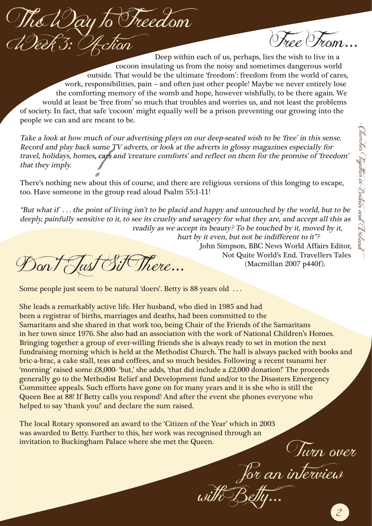Free From

 Deep within each of us, perhaps, lies the wish to live in a cocoon insulating us from the noisy and sometimes dangerous world outside. That would be the ultimate 'freedom': freedom from the world of cares, work, responsibilities, pain – and often just other people! Maybe we never entirely lose the comforting memory of the womb and hope, however wishfully, to be there again. We would at least be 'free from' so much that troubles and worries us, and not least the problems of society. In fact, that safe 'cocoon' might equally well be a prison preventing our growing into the people we can and are meant to be.

Take a look at how much of our advertising plays on our deep-seated wish to be 'free' in this sense. Record and play back some TV adverts, or look at the adverts in glossy magazines especially for T travel, holidays, homes, cars and 'creature comforts' and reflect on them for the promise of 'freedom'<br>that they imply.<br>There's nothing new about this of course, and there are religious versions of this longing to escape, that they imply.

There's nothing new about this of course, and there are religious versions of this longing to escape, too. Have someone in the group read aloud Psalm 55:1-11!

"But what if . . . the point of living isn't to be placid and happy and untouched by the world, but to be deeply, painfully sensitive to it, to see its cruelty and savagery for what they are, and accept all this as readily as we accept its beauty? To be touched by it, moved by it,

Rone...

 hurt by it even, but not be indifferent to it"? John Simpson, BBC News World Affairs Editor, Not Quite World's End. Travellers Tales (Macmillan 2007 p440f).

Some people just seem to be natural 'doers'. Betty is 88 years old . . .

The Way to Treedom

 $\mathcal{W}$ eek 3:  $\zeta$ 

She leads a remarkably active life. Her husband, who died in 1985 and had been a registrar of births, marriages and deaths, had been committed to the Samaritans and she shared in that work too, being Chair of the Friends of the Samaritans in her town since 1976. She also had an association with the work of National Children's Homes. Bringing together a group of ever-willing friends she is always ready to set in motion the next fundraising morning which is held at the Methodist Church. The hall is always packed with books and bric-a-brac, a cake stall, teas and coffees, and so much besides. Following a recent tsunami her 'morning' raised some £8,000- 'but,' she adds, 'that did include a £2,000 donation!' The proceeds generally go to the Methodist Relief and Development fund and/or to the Disasters Emergency Committee appeals. Such efforts have gone on for many years and it is she who is still the Queen Bee at 88! If Betty calls you respond! And after the event she phones everyone who helped to say 'thank you!' and declare the sum raised.

with Betty...

for an interview

The local Rotary sponsored an award to the 'Citizen of the Year' which in 2003 was awarded to Betty. Further to this, her work was recognised through an invitation to Buckingham Palace where she met the Queen.<br>
Turn over

2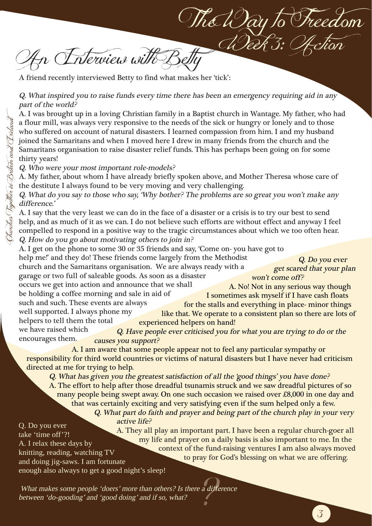The Way An Interview with B

A friend recently interviewed Betty to find what makes her 'tick':

## Q. What inspired you to raise funds every time there has been an emergency requiring aid in any part of the world?

A. I was brought up in a loving Christian family in a Baptist church in Wantage. My father, who had a flour mill, was always very responsive to the needs of the sick or hungry or lonely and to those who suffered on account of natural disasters. I learned compassion from him. I and my husband joined the Samaritans and when I moved here I drew in many friends from the church and the Samaritans organisation to raise disaster relief funds. This has perhaps been going on for some thirty years!

## Q. Who were your most important role-models?

A. My father, about whom I have already briefly spoken above, and Mother Theresa whose care of the destitute I always found to be very moving and very challenging.

Q. What do you say to those who say, 'Why bother? The problems are so great you won't make any difference.'

A. I say that the very least we can do in the face of a disaster or a crisis is to try our best to send help, and as much of it as we can. I do not believe such efforts are without effect and anyway I feel compelled to respond in a positive way to the tragic circumstances about which we too often hear. Q. How do you go about motivating others to join in?

A. I get on the phone to some 30 or 35 friends and say, 'Come on- you have got to help me!' and they do! These friends come largely from the Methodist Q. Do you ever church and the Samaritans organisation. We are always ready with a *get scared that your plan* garage or two full of saleable goods. As soon as a disaster won't come off? occurs we get into action and announce that we shall be holding a coffee morning and sale in aid of such and such. These events are always well supported. I always phone my helpers to tell them the total we have raised which A. No! Not in any serious way though I sometimes ask myself if I have cash floats for the stalls and everything in place- minor things like that. We operate to a consistent plan so there are lots of experienced helpers on hand! Q. Have people ever criticised you for what you are trying to do or the

encourages them. causes you support?

 A. I am aware that some people appear not to feel any particular sympathy or responsibility for third world countries or victims of natural disasters but I have never had criticism directed at me for trying to help.

Q. What has given you the greatest satisfaction of all the 'good things' you have done?

 A. The effort to help after those dreadful tsunamis struck and we saw dreadful pictures of so many people being swept away. On one such occasion we raised over £8,000 in one day and that was certainly exciting and very satisfying even if the sum helped only a few.

 Q. What part do faith and prayer and being part of the church play in your very active life?

3

 A. They all play an important part. I have been a regular church-goer all my life and prayer on a daily basis is also important to me. In the context of the fund-raising ventures I am also always moved to pray for God's blessing on what we are offering. enough also always to get a good night's sleep! Q. Do you ever take 'time off'?! A. I relax these days by knitting, reading, watching TV and doing jig-saws. I am fortunate

What makes some people 'doers' more than others? Is there a difference What makes some people 'doers' more than others? Is there a difference of the gooding' and 'good doing' and if so, what? diffe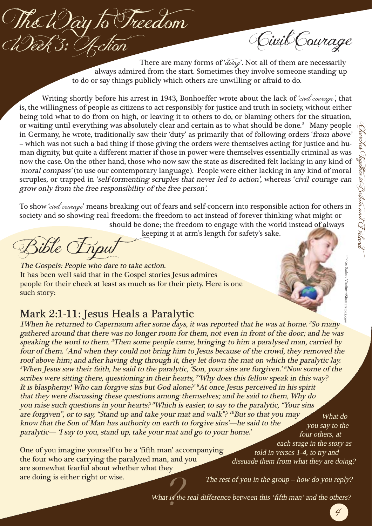Tivil Courage

©© Churches Together in Britain and Ireland

Her in Britain and Erel

Pho

o to: Surkov Vladimir/Shutterstock.co

There are many forms of 'doing'. Not all of them are necessarily always admired from the start. Sometimes they involve someone standing up to do or say things publicly which others are unwilling or afraid to do.

Writing shortly before his arrest in 1943, Bonhoeffer wrote about the lack of 'civil courage', that is, the willingness of people as citizens to act responsibly for justice and truth in society, without either being told what to do from on high, or leaving it to others to do, or blaming others for the situation, or waiting until everything was absolutely clear and certain as to what should be done.<sup>2</sup> Many people in Germany, he wrote, traditionally saw their 'duty' as primarily that of following orders 'from above' – which was not such a bad thing if those giving the orders were themselves acting for justice and human dignity, but quite a different matter if those in power were themselves essentially criminal as was now the case. On the other hand, those who now saw the state as discredited felt lacking in any kind of 'moral compass' (to use our contemporary language). People were either lacking in any kind of moral scruples, or trapped in 'self-tormenting scruples that never led to action', whereas 'civil courage can grow only from the free responsibility of the free person'.

To show 'civil courage' means breaking out of fears and self-concern into responsible action for others in society and so showing real freedom: the freedom to act instead of forever thinking what might or should be done; the freedom to engage with the world instead of always

keeping it at arm's length for safety's sake.

The Gospels: People who dare to take action. It has been well said that in the Gospel stories Jesus admires people for their cheek at least as much as for their piety. Here is one such story:

## Mark 2:1-11: Jesus Heals a Paralytic

Sible Trou

The Way To Treedom

1When he returned to Capernaum after some days, it was reported that he was at home.  $^{2}$ So many gathered around that there was no longer room for them, not even in front of the door; and he was speaking the word to them. <sup>3</sup>Then some people came, bringing to him a paralysed man, carried by four of them. <sup>4</sup>And when they could not bring him to Jesus because of the crowd, they removed the roof above him; and after having dug through it, they let down the mat on which the paralytic lay.  $5$ When Jesus saw their faith, he said to the paralytic, 'Son, your sins are forgiven.'  $6$ Now some of the scribes were sitting there, questioning in their hearts, <sup>7</sup>'Why does this fellow speak in this way? It is blasphemy! Who can forgive sins but God alone?' <sup>8</sup>At once Jesus perceived in his spirit that they were discussing these questions among themselves; and he said to them, Why do you raise such questions in your hearts? <sup>9</sup>Which is easier, to say to the paralytic, "Your sins are forgiven", or to say, "Stand up and take your mat and walk"? <sup>10</sup>But so that you may what do know that the Son of Man has authority on earth to forgive sins'—he said to the you say to the paralytic— 'I say to you, stand up, take your mat and go to your home.' Four others, at m

One of you imagine yourself to be a 'fifth man' accompanying the four who are carrying the paralyzed man, and you are somewhat fearful about whether what they are doing is either right or wise.

 each stage in the story as told in verses 1-4, to try and dissuade them from what they are doing?

4

The rest of you in the group – how do you reply?

What is the real difference between this 'fifth man' and the others?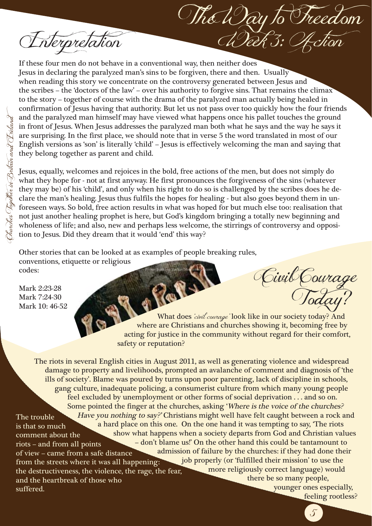

If these four men do not behave in a conventional way, then neither does Jesus in declaring the paralyzed man's sins to be forgiven, there and then. Usually when reading this story we concentrate on the controversy generated between Jesus and the scribes – the 'doctors of the law' – over his authority to forgive sins. That remains the climax to the story – together of course with the drama of the paralyzed man actually being healed in confirmation of Jesus having that authority. But let us not pass over too quickly how the four friends and the paralyzed man himself may have viewed what happens once his pallet touches the ground in front of Jesus. When Jesus addresses the paralyzed man both what he says and the way he says it are surprising. In the first place, we should note that in verse 5 the word translated in most of our English versions as 'son' is literally 'child' – Jesus is effectively welcoming the man and saying that they belong together as parent and child.

Jesus, equally, welcomes and rejoices in the bold, free actions of the men, but does not simply do what they hope for - not at first anyway. He first pronounces the forgiveness of the sins (whatever they may be) of his 'child', and only when his right to do so is challenged by the scribes does he declare the man's healing. Jesus thus fulfils the hopes for healing - but also goes beyond them in unforeseen ways. So bold, free action results in what was hoped for but much else too: realisation that not just another healing prophet is here, but God's kingdom bringing a totally new beginning and wholeness of life; and also, new and perhaps less welcome, the stirrings of controversy and opposition to Jesus. Did they dream that it would 'end' this way?

2019

Other stories that can be looked at as examples of people breaking rules, conventions, etiquette or religious codes: : Tucker/Shuttersto

Mark 2:23-28 Mark 7:24-30 Mark 10: 46-52

Civil Courage Today?

The Way to Freedom

What does 'civil courage' look like in our society today? And where are Christians and churches showing it, becoming free by acting for justice in the community without regard for their comfort, safety or reputation?

 The riots in several English cities in August 2011, as well as generating violence and widespread damage to property and livelihoods, prompted an avalanche of comment and diagnosis of 'the ills of society'. Blame was poured by turns upon poor parenting, lack of discipline in schools, gang culture, inadequate policing, a consumerist culture from which many young people feel excluded by unemployment or other forms of social deprivation . . . and so on. Some pointed the finger at the churches, asking 'Where is the voice of the churches? Have you nothing to say?' Christians might well have felt caught between a rock and a hard place on this one. On the one hand it was tempting to say, 'The riots show what happens when a society departs from God and Christian values – don't blame us!' On the other hand this could be tantamount to admission of failure by the churches: if they had done their job properly (or 'fulfilled their mission' to use the the destructiveness, the violence, the rage, the fear, more religiously correct language) would and the heartbreak of those who there is a state of the so many people, younger ones especially, The trouble is that so much comment about the riots – and from all points of view – came from a safe distance from the streets where it was all happening: suffered.

feeling rootless?

5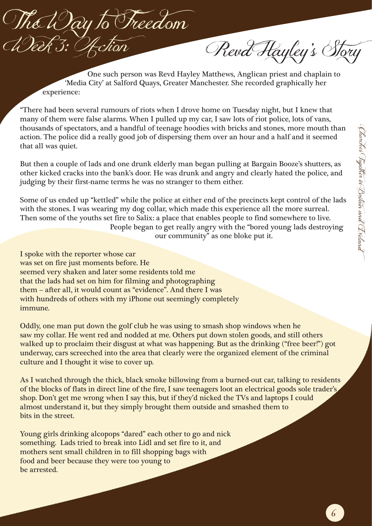One such person was Revd Hayley Matthews, Anglican priest and chaplain to 'Media City' at Salford Quays, Greater Manchester. She recorded graphically her experience:

Revd Hayley's &

"There had been several rumours of riots when I drove home on Tuesday night, but I knew that many of them were false alarms. When I pulled up my car, I saw lots of riot police, lots of vans, thousands of spectators, and a handful of teenage hoodies with bricks and stones, more mouth than action. The police did a really good job of dispersing them over an hour and a half and it seemed that all was quiet.

Theedom

 $\triangle$  Deek 3:  $\Diamond$ 

But then a couple of lads and one drunk elderly man began pulling at Bargain Booze's shutters, as other kicked cracks into the bank's door. He was drunk and angry and clearly hated the police, and judging by their first-name terms he was no stranger to them either.

Some of us ended up "kettled" while the police at either end of the precincts kept control of the lads with the stones. I was wearing my dog collar, which made this experience all the more surreal. Then some of the youths set fire to Salix: a place that enables people to find somewhere to live. People began to get really angry with the "bored young lads destroying our community" as one bloke put it.

I spoke with the reporter whose car was set on fire just moments before. He seemed very shaken and later some residents told me that the lads had set on him for filming and photographing them – after all, it would count as "evidence". And there I was with hundreds of others with my iPhone out seemingly completely immune.

Oddly, one man put down the golf club he was using to smash shop windows when he saw my collar. He went red and nodded at me. Others put down stolen goods, and still others walked up to proclaim their disgust at what was happening. But as the drinking ("free beer!") got underway, cars screeched into the area that clearly were the organized element of the criminal culture and I thought it wise to cover up.

As I watched through the thick, black smoke billowing from a burned-out car, talking to residents of the blocks of flats in direct line of the fire, I saw teenagers loot an electrical goods sole trader's shop. Don't get me wrong when I say this, but if they'd nicked the TVs and laptops I could almost understand it, but they simply brought them outside and smashed them to bits in the street.

Young girls drinking alcopops "dared" each other to go and nick something. Lads tried to break into Lidl and set fire to it, and mothers sent small children in to fill shopping bags with food and beer because they were too young to be arrested.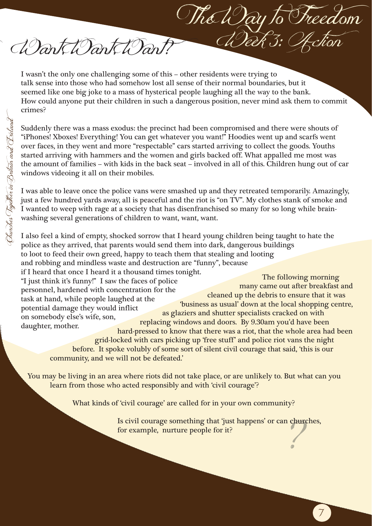Want Want Want?

I wasn't the only one challenging some of this – other residents were trying to talk sense into those who had somehow lost all sense of their normal boundaries, but it seemed like one big joke to a mass of hysterical people laughing all the way to the bank. How could anyone put their children in such a dangerous position, never mind ask them to commit crimes?

The Way to Freedom

Week 3: Action

Suddenly there was a mass exodus: the precinct had been compromised and there were shouts of "iPhones! Xboxes! Everything! You can get whatever you want!" Hoodies went up and scarfs went over faces, in they went and more "respectable" cars started arriving to collect the goods. Youths started arriving with hammers and the women and girls backed off. What appalled me most was the amount of families – with kids in the back seat – involved in all of this. Children hung out of car windows videoing it all on their mobiles.

I was able to leave once the police vans were smashed up and they retreated temporarily. Amazingly, just a few hundred yards away, all is peaceful and the riot is "on TV". My clothes stank of smoke and I wanted to weep with rage at a society that has disenfranchised so many for so long while brainwashing several generations of children to want, want, want.

I also feel a kind of empty, shocked sorrow that I heard young children being taught to hate the police as they arrived, that parents would send them into dark, dangerous buildings to loot to feed their own greed, happy to teach them that stealing and looting and robbing and mindless waste and destruction are "funny", because if I heard that once I heard it a thousand times tonight. The following morning<br>
"I just think it's funny!" I saw the faces of police The following morning personnel, hardened with concentration for the task at hand, while people laughed at the potential damage they would inflict on somebody else's wife, son, daughter, mother. many came out after breakfast and cleaned up the debris to ensure that it was 'business as usual' down at the local shopping centre, as glaziers and shutter specialists cracked on with replacing windows and doors. By 9.30am you'd have been hard-pressed to know that there was a riot, that the whole area had been grid-locked with cars picking up 'free stuff' and police riot vans the night before. It spoke volubly of some sort of silent civil courage that said, 'this is our

community, and we will not be defeated.'

You may be living in an area where riots did not take place, or are unlikely to. But what can you learn from those who acted responsibly and with 'civil courage'?

What kinds of 'civil courage' are called for in your own community?

**Is civil courage something that 'just happens' or can churches,** for example, nurture people for it?

 $\overline{\mathcal{I}}$